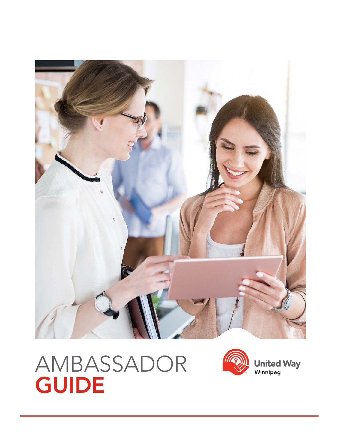

# AMBASSADOR **GUIDE**



**United Way**<br>Winnipeg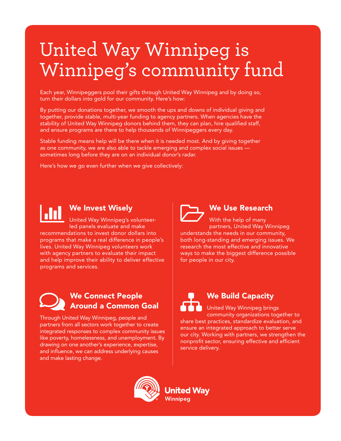# United Way Winnipeg is Winnipeg's community fund

Each year, Winnipeggers pool their gifts through United Way Winnipeg and by doing so, turn their dollars into gold for our community. Here's how:

By putting our donations together, we smooth the ups and downs of individual giving and together, provide stable, multi-year funding to agency partners. When agencies have the stability of United Way Winnipeg donors behind them, they can plan, hire qualified staff, and ensure programs are there to help thousands of Winnipeggers every day.

Stable funding means help will be there when it is needed most. And by giving together as one community, we are also able to tackle emerging and complex social issues sometimes long before they are on an individual donor's radar.

Here's how we go even further when we give collectively:



## We Invest Wisely

United Way Winnipeg's volunteerled panels evaluate and make recommendations to invest donor dollars into programs that make a real difference in people's lives. United Way Winnipeg volunteers work with agency partners to evaluate their impact and help improve their ability to deliver effective programs and services.



### We Use Research

With the help of many partners, United Way Winnipeg understands the needs in our community, both long-standing and emerging issues. We research the most effective and innovative ways to make the biggest difference possible for people in our city.



Through United Way Winnipeg, people and partners from all sectors work together to create integrated responses to complex community issues like poverty, homelessness, and unemployment. By drawing on one another's experience, expertise, and influence, we can address underlying causes and make lasting change.

We Build Capacity

United Way Winnipeg brings community organizations together to share best practices, standardize evaluation, and ensure an integrated approach to better serve our city. Working with partners, we strengthen the nonprofit sector, ensuring effective and efficient service delivery.



**United Wav** Winnipeg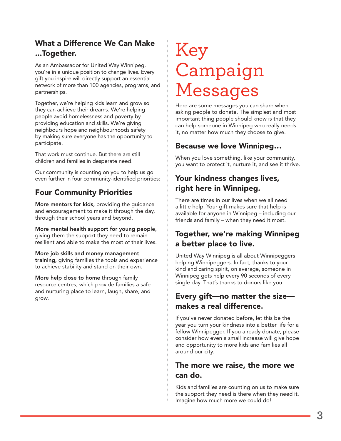## What a Difference We Can Make ...Together.

As an Ambassador for United Way Winnipeg, you're in a unique position to change lives. Every gift you inspire will directly support an essential network of more than 100 agencies, programs, and partnerships.

Together, we're helping kids learn and grow so they can achieve their dreams. We're helping people avoid homelessness and poverty by providing education and skills. We're giving neighbours hope and neighbourhoods safety by making sure everyone has the opportunity to participate.

That work must continue. But there are still children and families in desperate need.

Our community is counting on you to help us go even further in four community-identified priorities:

## Four Community Priorities

More mentors for kids, providing the guidance and encouragement to make it through the day, through their school years and beyond.

More mental health support for young people, giving them the support they need to remain resilient and able to make the most of their lives.

More job skills and money management training, giving families the tools and experience to achieve stability and stand on their own.

More help close to home through family resource centres, which provide families a safe and nurturing place to learn, laugh, share, and grow.

# Key Campaign Messages

Here are some messages you can share when asking people to donate. The simplest and most important thing people should know is that they can help someone in Winnipeg who really needs it, no matter how much they choose to give.

## Because we love Winnipeg…

When you love something, like your community, you want to protect it, nurture it, and see it thrive.

## Your kindness changes lives, right here in Winnipeg.

There are times in our lives when we all need a little help. Your gift makes sure that help is available for anyone in Winnipeg – including our friends and family – when they need it most.

## Together, we're making Winnipeg a better place to live.

United Way Winnipeg is all about Winnipeggers helping Winnipeggers. In fact, thanks to your kind and caring spirit, on average, someone in Winnipeg gets help every 90 seconds of every single day. That's thanks to donors like you.

## Every gift—no matter the size makes a real difference.

If you've never donated before, let this be the year you turn your kindness into a better life for a fellow Winnipegger. If you already donate, please consider how even a small increase will give hope and opportunity to more kids and families all around our city.

## The more we raise, the more we can do.

Kids and families are counting on us to make sure the support they need is there when they need it. Imagine how much more we could do!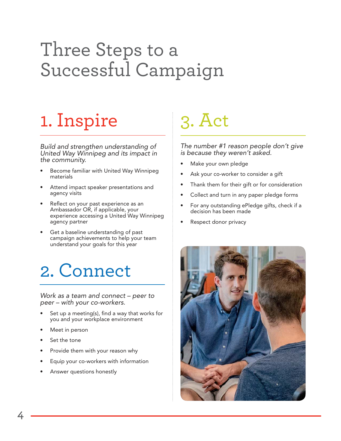# Three Steps to a Successful Campaign

# 1. Inspire

Build and strengthen understanding of United Way Winnipeg and its impact in the community.

- Become familiar with United Way Winnipeg materials
- Attend impact speaker presentations and agency visits
- Reflect on your past experience as an Ambassador OR, if applicable, your experience accessing a United Way Winnipeg agency partner
- Get a baseline understanding of past campaign achievements to help your team understand your goals for this year

## 2. Connect

Work as a team and connect – peer to peer – with your co-workers.

- Set up a meeting(s), find a way that works for you and your workplace environment
- Meet in person
- Set the tone
- Provide them with your reason why
- Equip your co-workers with information
- Answer questions honestly

# 3. Act

The number #1 reason people don't give is because they weren't asked.

- Make your own pledge
- Ask your co-worker to consider a gift
- Thank them for their gift or for consideration
- Collect and turn in any paper pledge forms
- For any outstanding ePledge gifts, check if a decision has been made
- Respect donor privacy

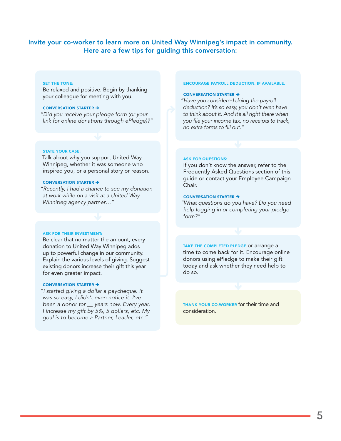#### Invite your co-worker to learn more on United Way Winnipeg's impact in community. Here are a few tips for guiding this conversation:

#### SET THE TONE:

Be relaxed and positive. Begin by thanking your colleague for meeting with you.

#### CONVERSATION STARTER  $\rightarrow$

"Did you receive your pledge form (or your link for online donations through ePledge)?"

#### STATE YOUR CASE:

Talk about why you support United Way Winnipeg, whether it was someone who inspired you, or a personal story or reason.

#### CONVERSATION STARTER  $\rightarrow$

"Recently, I had a chance to see my donation at work while on a visit at a United Way Winnipeg agency partner…"

#### ASK FOR THEIR INVESTMENT:

Be clear that no matter the amount, every donation to United Way Winnipeg adds up to powerful change in our community. Explain the various levels of giving. Suggest existing donors increase their gift this year for even greater impact.

#### CONVERSATION STARTER  $\rightarrow$

"I started giving a dollar a paycheque. It was so easy, I didn't even notice it. I've been a donor for \_\_ years now. Every year, I increase my gift by 5%, 5 dollars, etc. My goal is to become a Partner, Leader, etc."

#### ENCOURAGE PAYROLL DEDUCTION, IF AVAILABLE.

#### CONVERSATION STARTER  $\rightarrow$

"Have you considered doing the payroll deduction? It's so easy, you don't even have to think about it. And it's all right there when you file your income tax, no receipts to track, no extra forms to fill out."

#### ASK FOR QUESTIONS:

If you don't know the answer, refer to the Frequently Asked Questions section of this guide or contact your Employee Campaign Chair.

#### CONVERSATION STARTER  $\rightarrow$

"What questions do you have? Do you need help logging in or completing your pledge form?"

TAKE THE COMPLETED PLEDGE OF arrange a time to come back for it. Encourage online donors using ePledge to make their gift today and ask whether they need help to do so.

THANK YOUR CO-WORKER for their time and consideration.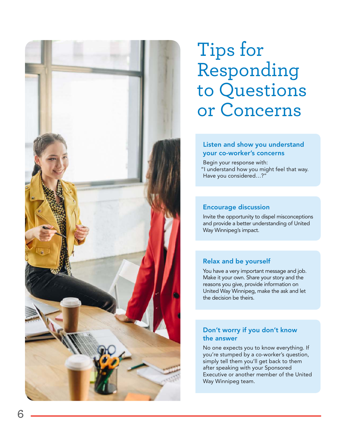

# Tips for Responding to Questions or Concerns

#### Listen and show you understand your co-worker's concerns

Begin your response with:

"I understand how you might feel that way. Have you considered…?"

#### Encourage discussion

Invite the opportunity to dispel misconceptions and provide a better understanding of United Way Winnipeg's impact.

### Relax and be yourself

You have a very important message and job. Make it your own. Share your story and the reasons you give, provide information on United Way Winnipeg, make the ask and let the decision be theirs.

#### Don't worry if you don't know the answer

No one expects you to know everything. If you're stumped by a co-worker's question, simply tell them you'll get back to them after speaking with your Sponsored Executive or another member of the United Way Winnipeg team.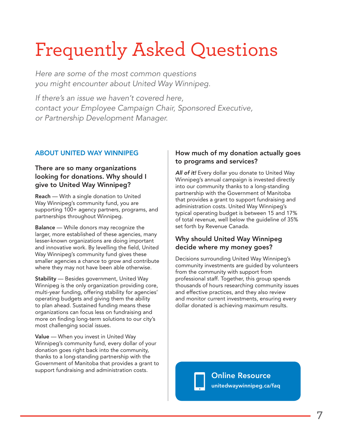# Frequently Asked Questions

Here are some of the most common questions you might encounter about United Way Winnipeg.

If there's an issue we haven't covered here, contact your Employee Campaign Chair, Sponsored Executive, or Partnership Development Manager.

### ABOUT UNITED WAY WINNIPEG

### There are so many organizations looking for donations. Why should I give to United Way Winnipeg?

Reach — With a single donation to United Way Winnipeg's community fund, you are supporting 100+ agency partners, programs, and partnerships throughout Winnipeg.

Balance — While donors may recognize the larger, more established of these agencies, many lesser-known organizations are doing important and innovative work. By levelling the field, United Way Winnipeg's community fund gives these smaller agencies a chance to grow and contribute where they may not have been able otherwise.

**Stability** — Besides government, United Way Winnipeg is the only organization providing core, multi-year funding, offering stability for agencies' operating budgets and giving them the ability to plan ahead. Sustained funding means these organizations can focus less on fundraising and more on finding long-term solutions to our city's most challenging social issues.

Value — When you invest in United Way Winnipeg's community fund, every dollar of your donation goes right back into the community, thanks to a long-standing partnership with the Government of Manitoba that provides a grant to support fundraising and administration costs.

### How much of my donation actually goes to programs and services?

All of it! Every dollar you donate to United Way Winnipeg's annual campaign is invested directly into our community thanks to a long-standing partnership with the Government of Manitoba that provides a grant to support fundraising and administration costs. United Way Winnipeg's typical operating budget is between 15 and 17% of total revenue, well below the guideline of 35% set forth by Revenue Canada.

### Why should United Way Winnipeg decide where my money goes?

Decisions surrounding United Way Winnipeg's community investments are guided by volunteers from the community with support from professional staff. Together, this group spends thousands of hours researching community issues and effective practices, and they also review and monitor current investments, ensuring every dollar donated is achieving maximum results.

> Online Resource unitedwaywinnipeg.ca/faq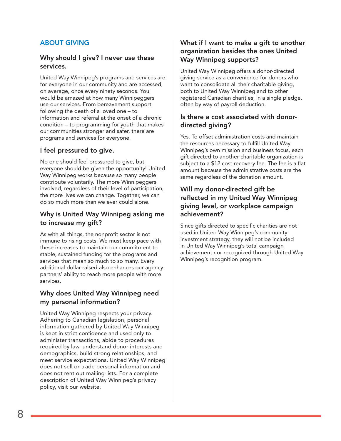### ABOUT GIVING

#### Why should I give? I never use these services.

United Way Winnipeg's programs and services are for everyone in our community and are accessed, on average, once every ninety seconds. You would be amazed at how many Winnipeggers use our services. From bereavement support following the death of a loved one – to information and referral at the onset of a chronic condition – to programming for youth that makes our communities stronger and safer, there are programs and services for everyone.

#### I feel pressured to give.

No one should feel pressured to give, but everyone should be given the opportunity! United Way Winnipeg works because so many people contribute voluntarily. The more Winnipeggers involved, regardless of their level of participation, the more lives we can change. Together, we can do so much more than we ever could alone.

#### Why is United Way Winnipeg asking me to increase my gift?

As with all things, the nonprofit sector is not immune to rising costs. We must keep pace with these increases to maintain our commitment to stable, sustained funding for the programs and services that mean so much to so many. Every additional dollar raised also enhances our agency partners' ability to reach more people with more services.

#### Why does United Way Winnipeg need my personal information?

United Way Winnipeg respects your privacy. Adhering to Canadian legislation, personal information gathered by United Way Winnipeg is kept in strict confidence and used only to administer transactions, abide to procedures required by law, understand donor interests and demographics, build strong relationships, and meet service expectations. United Way Winnipeg does not sell or trade personal information and does not rent out mailing lists. For a complete description of United Way Winnipeg's privacy policy, visit our website.

### What if I want to make a gift to another organization besides the ones United Way Winnipeg supports?

United Way Winnipeg offers a donor-directed giving service as a convenience for donors who want to consolidate all their charitable giving, both to United Way Winnipeg and to other registered Canadian charities, in a single pledge, often by way of payroll deduction.

#### Is there a cost associated with donordirected giving?

Yes. To offset administration costs and maintain the resources necessary to fulfill United Way Winnipeg's own mission and business focus, each gift directed to another charitable organization is subject to a \$12 cost recovery fee. The fee is a flat amount because the administrative costs are the same regardless of the donation amount.

### Will my donor-directed gift be reflected in my United Way Winnipeg giving level, or workplace campaign achievement?

Since gifts directed to specific charities are not used in United Way Winnipeg's community investment strategy, they will not be included in United Way Winnipeg's total campaign achievement nor recognized through United Way Winnipeg's recognition program.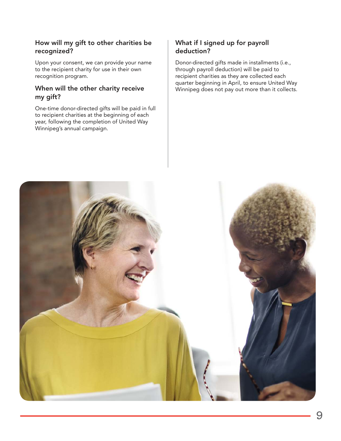### How will my gift to other charities be recognized?

Upon your consent, we can provide your name to the recipient charity for use in their own recognition program.

#### When will the other charity receive my gift?

One-time donor-directed gifts will be paid in full to recipient charities at the beginning of each year, following the completion of United Way Winnipeg's annual campaign.

### What if I signed up for payroll deduction?

Donor-directed gifts made in installments (i.e., through payroll deduction) will be paid to recipient charities as they are collected each quarter beginning in April, to ensure United Way Winnipeg does not pay out more than it collects.

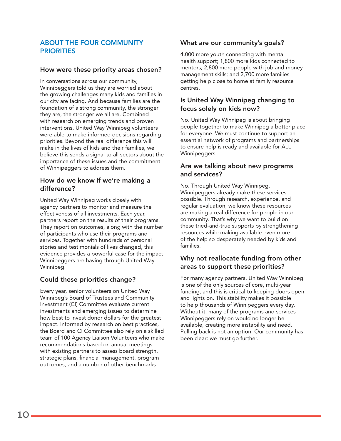#### ABOUT THE FOUR COMMUNITY **PRIORITIES**

#### How were these priority areas chosen?

In conversations across our community, Winnipeggers told us they are worried about the growing challenges many kids and families in our city are facing. And because families are the foundation of a strong community, the stronger they are, the stronger we all are. Combined with research on emerging trends and proven interventions, United Way Winnipeg volunteers were able to make informed decisions regarding priorities. Beyond the real difference this will make in the lives of kids and their families, we believe this sends a signal to all sectors about the importance of these issues and the commitment of Winnipeggers to address them.

#### How do we know if we're making a difference?

United Way Winnipeg works closely with agency partners to monitor and measure the effectiveness of all investments. Each year, partners report on the results of their programs. They report on outcomes, along with the number of participants who use their programs and services. Together with hundreds of personal stories and testimonials of lives changed, this evidence provides a powerful case for the impact Winnipeggers are having through United Way Winnipeg.

### Could these priorities change?

Every year, senior volunteers on United Way Winnipeg's Board of Trustees and Community Investment (CI) Committee evaluate current investments and emerging issues to determine how best to invest donor dollars for the greatest impact. Informed by research on best practices, the Board and CI Committee also rely on a skilled team of 100 Agency Liaison Volunteers who make recommendations based on annual meetings with existing partners to assess board strength, strategic plans, financial management, program outcomes, and a number of other benchmarks.

#### What are our community's goals?

4,000 more youth connecting with mental health support; 1,800 more kids connected to mentors; 2,800 more people with job and money management skills; and 2,700 more families getting help close to home at family resource centres.

#### Is United Way Winnipeg changing to focus solely on kids now?

No. United Way Winnipeg is about bringing people together to make Winnipeg a better place for everyone. We must continue to support an essential network of programs and partnerships to ensure help is ready and available for ALL Winnipeggers.

#### Are we talking about new programs and services?

No. Through United Way Winnipeg, Winnipeggers already make these services possible. Through research, experience, and regular evaluation, we know these resources are making a real difference for people in our community. That's why we want to build on these tried-and-true supports by strengthening resources while making available even more of the help so desperately needed by kids and families.

### Why not reallocate funding from other areas to support these priorities?

For many agency partners, United Way Winnipeg is one of the only sources of core, multi-year funding, and this is critical to keeping doors open and lights on. This stability makes it possible to help thousands of Winnipeggers every day. Without it, many of the programs and services Winnipeggers rely on would no longer be available, creating more instability and need. Pulling back is not an option. Our community has been clear: we must go further.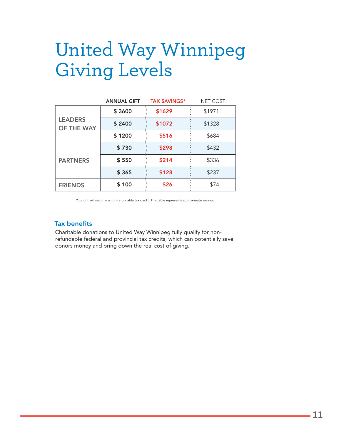# United Way Winnipeg Giving Levels

|                              | <b>ANNUAL GIFT</b> | <b>TAX SAVINGS*</b> | <b>NET COST</b> |
|------------------------------|--------------------|---------------------|-----------------|
| <b>LEADERS</b><br>OF THE WAY | \$3600             | \$1629              | \$1971          |
|                              | \$2400             | \$1072              | \$1328          |
|                              | \$1200             | \$516               | \$684           |
| <b>PARTNERS</b>              | \$730              | \$298               | \$432           |
|                              | \$550              | \$214               | \$336           |
|                              | \$365              | \$128               | \$237           |
| <b>FRIENDS</b>               | \$100              | \$26                | \$74            |

Your gift will result in a non-refundable tax credit. This table represents approximate savings.

#### Tax benefits

Charitable donations to United Way Winnipeg fully qualify for nonrefundable federal and provincial tax credits, which can potentially save donors money and bring down the real cost of giving.